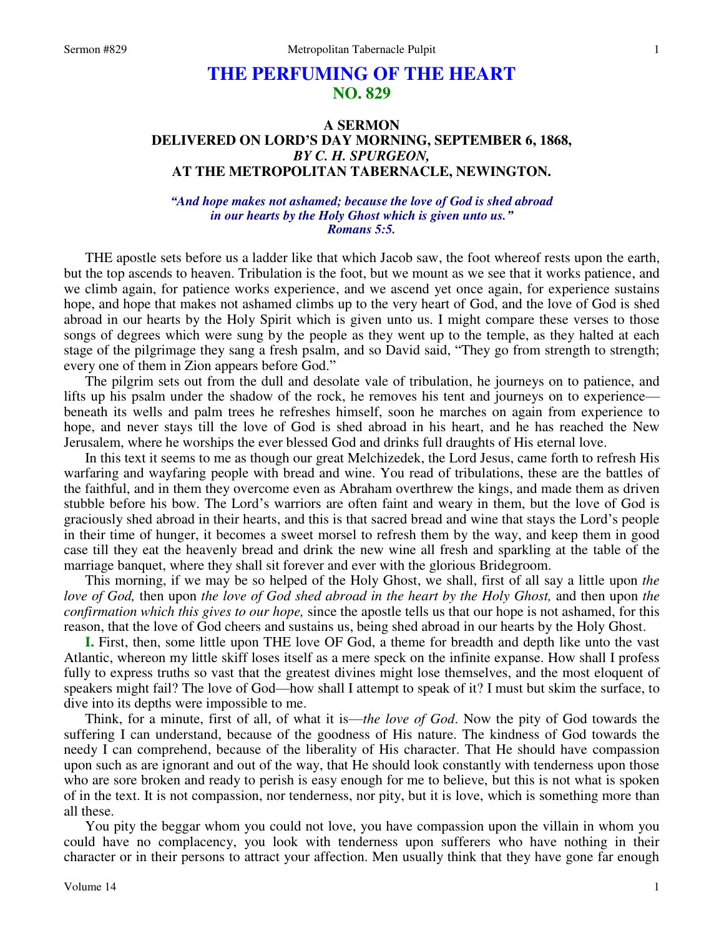# **THE PERFUMING OF THE HEART NO. 829**

## **A SERMON DELIVERED ON LORD'S DAY MORNING, SEPTEMBER 6, 1868,**  *BY C. H. SPURGEON,*  **AT THE METROPOLITAN TABERNACLE, NEWINGTON.**

### *"And hope makes not ashamed; because the love of God is shed abroad in our hearts by the Holy Ghost which is given unto us." Romans 5:5.*

THE apostle sets before us a ladder like that which Jacob saw, the foot whereof rests upon the earth, but the top ascends to heaven. Tribulation is the foot, but we mount as we see that it works patience, and we climb again, for patience works experience, and we ascend yet once again, for experience sustains hope, and hope that makes not ashamed climbs up to the very heart of God, and the love of God is shed abroad in our hearts by the Holy Spirit which is given unto us. I might compare these verses to those songs of degrees which were sung by the people as they went up to the temple, as they halted at each stage of the pilgrimage they sang a fresh psalm, and so David said, "They go from strength to strength; every one of them in Zion appears before God."

 The pilgrim sets out from the dull and desolate vale of tribulation, he journeys on to patience, and lifts up his psalm under the shadow of the rock, he removes his tent and journeys on to experience beneath its wells and palm trees he refreshes himself, soon he marches on again from experience to hope, and never stays till the love of God is shed abroad in his heart, and he has reached the New Jerusalem, where he worships the ever blessed God and drinks full draughts of His eternal love.

 In this text it seems to me as though our great Melchizedek, the Lord Jesus, came forth to refresh His warfaring and wayfaring people with bread and wine. You read of tribulations, these are the battles of the faithful, and in them they overcome even as Abraham overthrew the kings, and made them as driven stubble before his bow. The Lord's warriors are often faint and weary in them, but the love of God is graciously shed abroad in their hearts, and this is that sacred bread and wine that stays the Lord's people in their time of hunger, it becomes a sweet morsel to refresh them by the way, and keep them in good case till they eat the heavenly bread and drink the new wine all fresh and sparkling at the table of the marriage banquet, where they shall sit forever and ever with the glorious Bridegroom.

 This morning, if we may be so helped of the Holy Ghost, we shall, first of all say a little upon *the love of God,* then upon *the love of God shed abroad in the heart by the Holy Ghost,* and then upon *the confirmation which this gives to our hope,* since the apostle tells us that our hope is not ashamed, for this reason, that the love of God cheers and sustains us, being shed abroad in our hearts by the Holy Ghost.

**I.** First, then, some little upon THE love OF God, a theme for breadth and depth like unto the vast Atlantic, whereon my little skiff loses itself as a mere speck on the infinite expanse. How shall I profess fully to express truths so vast that the greatest divines might lose themselves, and the most eloquent of speakers might fail? The love of God—how shall I attempt to speak of it? I must but skim the surface, to dive into its depths were impossible to me.

 Think, for a minute, first of all, of what it is—*the love of God*. Now the pity of God towards the suffering I can understand, because of the goodness of His nature. The kindness of God towards the needy I can comprehend, because of the liberality of His character. That He should have compassion upon such as are ignorant and out of the way, that He should look constantly with tenderness upon those who are sore broken and ready to perish is easy enough for me to believe, but this is not what is spoken of in the text. It is not compassion, nor tenderness, nor pity, but it is love, which is something more than all these.

 You pity the beggar whom you could not love, you have compassion upon the villain in whom you could have no complacency, you look with tenderness upon sufferers who have nothing in their character or in their persons to attract your affection. Men usually think that they have gone far enough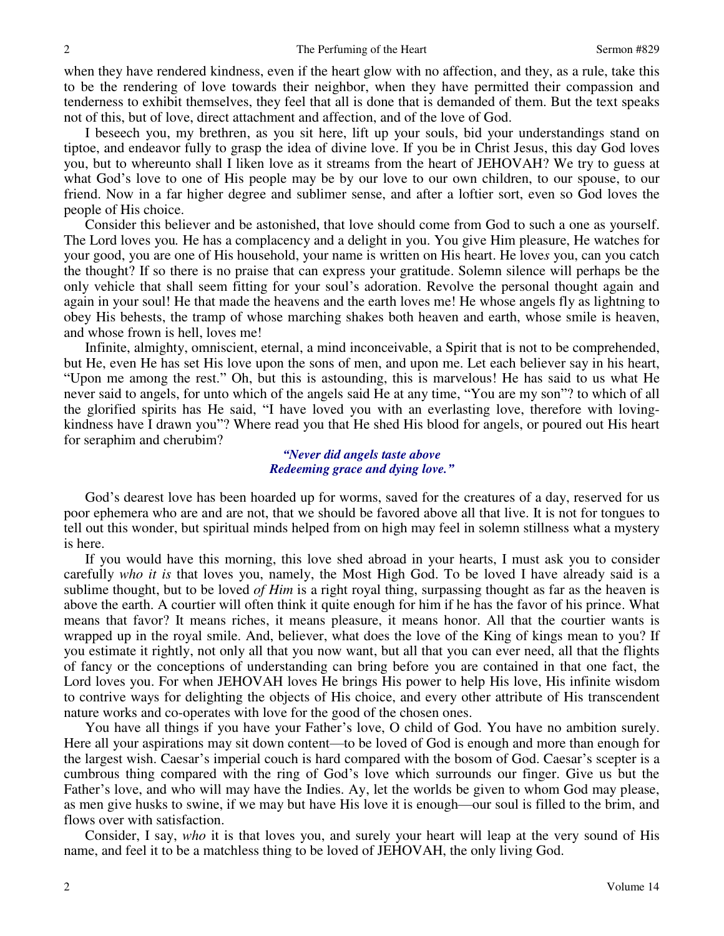when they have rendered kindness, even if the heart glow with no affection, and they, as a rule, take this to be the rendering of love towards their neighbor, when they have permitted their compassion and tenderness to exhibit themselves, they feel that all is done that is demanded of them. But the text speaks not of this, but of love, direct attachment and affection, and of the love of God.

 I beseech you, my brethren, as you sit here, lift up your souls, bid your understandings stand on tiptoe, and endeavor fully to grasp the idea of divine love. If you be in Christ Jesus, this day God loves you, but to whereunto shall I liken love as it streams from the heart of JEHOVAH? We try to guess at what God's love to one of His people may be by our love to our own children, to our spouse, to our friend. Now in a far higher degree and sublimer sense, and after a loftier sort, even so God loves the people of His choice.

 Consider this believer and be astonished, that love should come from God to such a one as yourself. The Lord loves you*.* He has a complacency and a delight in you. You give Him pleasure, He watches for your good, you are one of His household, your name is written on His heart. He love*s* you, can you catch the thought? If so there is no praise that can express your gratitude. Solemn silence will perhaps be the only vehicle that shall seem fitting for your soul's adoration. Revolve the personal thought again and again in your soul! He that made the heavens and the earth loves me! He whose angels fly as lightning to obey His behests, the tramp of whose marching shakes both heaven and earth, whose smile is heaven, and whose frown is hell, loves me!

 Infinite, almighty, omniscient, eternal, a mind inconceivable, a Spirit that is not to be comprehended, but He, even He has set His love upon the sons of men, and upon me. Let each believer say in his heart, "Upon me among the rest." Oh, but this is astounding, this is marvelous! He has said to us what He never said to angels, for unto which of the angels said He at any time, "You are my son"? to which of all the glorified spirits has He said, "I have loved you with an everlasting love, therefore with lovingkindness have I drawn you"? Where read you that He shed His blood for angels, or poured out His heart for seraphim and cherubim?

## *"Never did angels taste above Redeeming grace and dying love."*

 God's dearest love has been hoarded up for worms, saved for the creatures of a day, reserved for us poor ephemera who are and are not, that we should be favored above all that live. It is not for tongues to tell out this wonder, but spiritual minds helped from on high may feel in solemn stillness what a mystery is here.

If you would have this morning, this love shed abroad in your hearts, I must ask you to consider carefully *who it is* that loves you, namely, the Most High God. To be loved I have already said is a sublime thought, but to be loved *of Him* is a right royal thing, surpassing thought as far as the heaven is above the earth. A courtier will often think it quite enough for him if he has the favor of his prince. What means that favor? It means riches, it means pleasure, it means honor. All that the courtier wants is wrapped up in the royal smile. And, believer, what does the love of the King of kings mean to you? If you estimate it rightly, not only all that you now want, but all that you can ever need, all that the flights of fancy or the conceptions of understanding can bring before you are contained in that one fact, the Lord loves you. For when JEHOVAH loves He brings His power to help His love, His infinite wisdom to contrive ways for delighting the objects of His choice, and every other attribute of His transcendent nature works and co-operates with love for the good of the chosen ones.

 You have all things if you have your Father's love, O child of God. You have no ambition surely. Here all your aspirations may sit down content—to be loved of God is enough and more than enough for the largest wish. Caesar's imperial couch is hard compared with the bosom of God. Caesar's scepter is a cumbrous thing compared with the ring of God's love which surrounds our finger. Give us but the Father's love, and who will may have the Indies. Ay, let the worlds be given to whom God may please, as men give husks to swine, if we may but have His love it is enough—our soul is filled to the brim, and flows over with satisfaction.

 Consider, I say, *who* it is that loves you, and surely your heart will leap at the very sound of His name, and feel it to be a matchless thing to be loved of JEHOVAH, the only living God.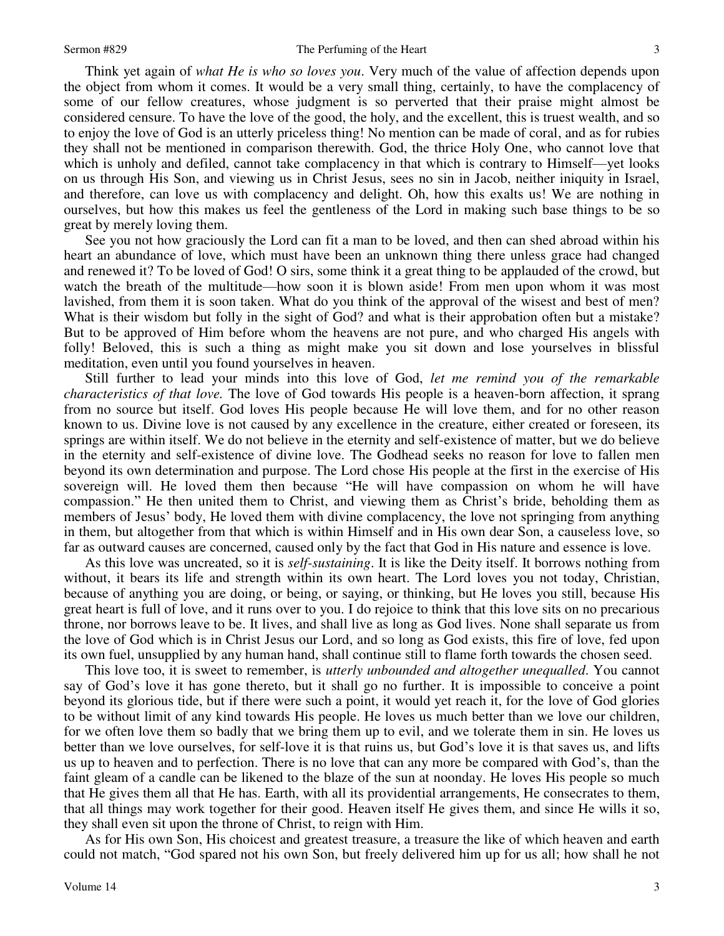Think yet again of *what He is who so loves you*. Very much of the value of affection depends upon the object from whom it comes. It would be a very small thing, certainly, to have the complacency of some of our fellow creatures, whose judgment is so perverted that their praise might almost be considered censure. To have the love of the good, the holy, and the excellent, this is truest wealth, and so to enjoy the love of God is an utterly priceless thing! No mention can be made of coral, and as for rubies they shall not be mentioned in comparison therewith. God, the thrice Holy One, who cannot love that which is unholy and defiled, cannot take complacency in that which is contrary to Himself—yet looks on us through His Son, and viewing us in Christ Jesus, sees no sin in Jacob, neither iniquity in Israel, and therefore, can love us with complacency and delight. Oh, how this exalts us! We are nothing in ourselves, but how this makes us feel the gentleness of the Lord in making such base things to be so great by merely loving them.

 See you not how graciously the Lord can fit a man to be loved, and then can shed abroad within his heart an abundance of love, which must have been an unknown thing there unless grace had changed and renewed it? To be loved of God! O sirs, some think it a great thing to be applauded of the crowd, but watch the breath of the multitude—how soon it is blown aside! From men upon whom it was most lavished, from them it is soon taken. What do you think of the approval of the wisest and best of men? What is their wisdom but folly in the sight of God? and what is their approbation often but a mistake? But to be approved of Him before whom the heavens are not pure, and who charged His angels with folly! Beloved, this is such a thing as might make you sit down and lose yourselves in blissful meditation, even until you found yourselves in heaven.

 Still further to lead your minds into this love of God, *let me remind you of the remarkable characteristics of that love.* The love of God towards His people is a heaven-born affection, it sprang from no source but itself. God loves His people because He will love them, and for no other reason known to us. Divine love is not caused by any excellence in the creature, either created or foreseen, its springs are within itself. We do not believe in the eternity and self-existence of matter, but we do believe in the eternity and self-existence of divine love. The Godhead seeks no reason for love to fallen men beyond its own determination and purpose. The Lord chose His people at the first in the exercise of His sovereign will. He loved them then because "He will have compassion on whom he will have compassion." He then united them to Christ, and viewing them as Christ's bride, beholding them as members of Jesus' body, He loved them with divine complacency, the love not springing from anything in them, but altogether from that which is within Himself and in His own dear Son, a causeless love, so far as outward causes are concerned, caused only by the fact that God in His nature and essence is love.

 As this love was uncreated, so it is *self-sustaining*. It is like the Deity itself. It borrows nothing from without, it bears its life and strength within its own heart. The Lord loves you not today, Christian, because of anything you are doing, or being, or saying, or thinking, but He loves you still, because His great heart is full of love, and it runs over to you. I do rejoice to think that this love sits on no precarious throne, nor borrows leave to be. It lives, and shall live as long as God lives. None shall separate us from the love of God which is in Christ Jesus our Lord, and so long as God exists, this fire of love, fed upon its own fuel, unsupplied by any human hand, shall continue still to flame forth towards the chosen seed.

 This love too, it is sweet to remember, is *utterly unbounded and altogether unequalled*. You cannot say of God's love it has gone thereto, but it shall go no further. It is impossible to conceive a point beyond its glorious tide, but if there were such a point, it would yet reach it, for the love of God glories to be without limit of any kind towards His people. He loves us much better than we love our children, for we often love them so badly that we bring them up to evil, and we tolerate them in sin. He loves us better than we love ourselves, for self-love it is that ruins us, but God's love it is that saves us, and lifts us up to heaven and to perfection. There is no love that can any more be compared with God's, than the faint gleam of a candle can be likened to the blaze of the sun at noonday. He loves His people so much that He gives them all that He has. Earth, with all its providential arrangements, He consecrates to them, that all things may work together for their good. Heaven itself He gives them, and since He wills it so, they shall even sit upon the throne of Christ, to reign with Him.

 As for His own Son, His choicest and greatest treasure, a treasure the like of which heaven and earth could not match, "God spared not his own Son, but freely delivered him up for us all; how shall he not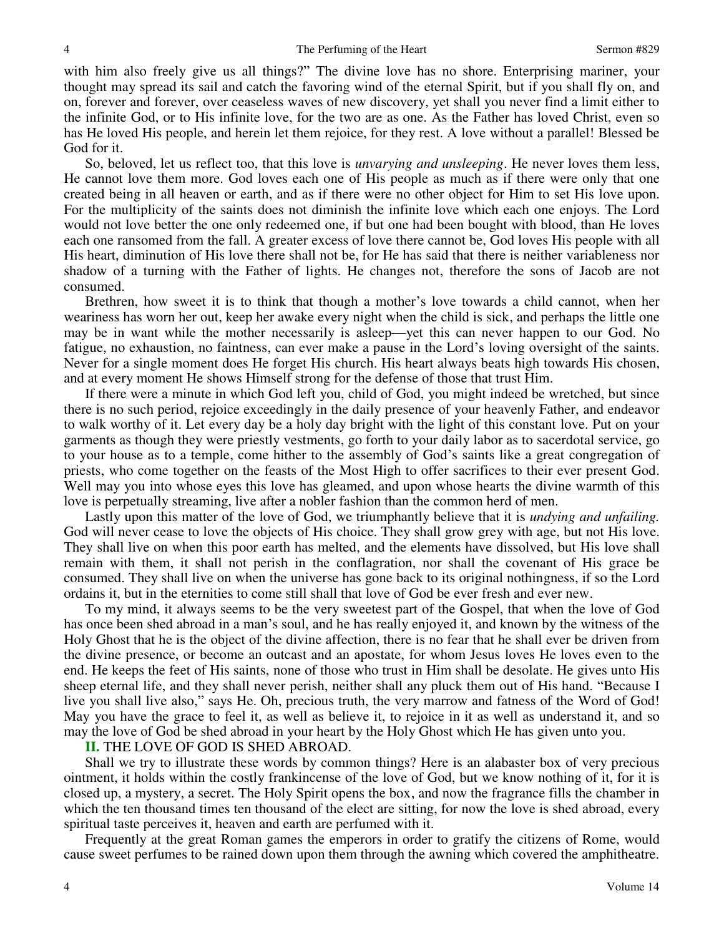with him also freely give us all things?" The divine love has no shore. Enterprising mariner, your thought may spread its sail and catch the favoring wind of the eternal Spirit, but if you shall fly on, and on, forever and forever, over ceaseless waves of new discovery, yet shall you never find a limit either to the infinite God, or to His infinite love, for the two are as one. As the Father has loved Christ, even so has He loved His people, and herein let them rejoice, for they rest. A love without a parallel! Blessed be God for it.

 So, beloved, let us reflect too, that this love is *unvarying and unsleeping*. He never loves them less, He cannot love them more. God loves each one of His people as much as if there were only that one created being in all heaven or earth, and as if there were no other object for Him to set His love upon. For the multiplicity of the saints does not diminish the infinite love which each one enjoys. The Lord would not love better the one only redeemed one, if but one had been bought with blood, than He loves each one ransomed from the fall. A greater excess of love there cannot be, God loves His people with all His heart, diminution of His love there shall not be, for He has said that there is neither variableness nor shadow of a turning with the Father of lights. He changes not, therefore the sons of Jacob are not consumed.

 Brethren, how sweet it is to think that though a mother's love towards a child cannot, when her weariness has worn her out, keep her awake every night when the child is sick, and perhaps the little one may be in want while the mother necessarily is asleep—yet this can never happen to our God. No fatigue, no exhaustion, no faintness, can ever make a pause in the Lord's loving oversight of the saints. Never for a single moment does He forget His church. His heart always beats high towards His chosen, and at every moment He shows Himself strong for the defense of those that trust Him.

 If there were a minute in which God left you, child of God, you might indeed be wretched, but since there is no such period, rejoice exceedingly in the daily presence of your heavenly Father, and endeavor to walk worthy of it. Let every day be a holy day bright with the light of this constant love. Put on your garments as though they were priestly vestments, go forth to your daily labor as to sacerdotal service, go to your house as to a temple, come hither to the assembly of God's saints like a great congregation of priests, who come together on the feasts of the Most High to offer sacrifices to their ever present God. Well may you into whose eyes this love has gleamed, and upon whose hearts the divine warmth of this love is perpetually streaming, live after a nobler fashion than the common herd of men.

 Lastly upon this matter of the love of God, we triumphantly believe that it is *undying and unfailing.* God will never cease to love the objects of His choice. They shall grow grey with age, but not His love. They shall live on when this poor earth has melted, and the elements have dissolved, but His love shall remain with them, it shall not perish in the conflagration, nor shall the covenant of His grace be consumed. They shall live on when the universe has gone back to its original nothingness, if so the Lord ordains it, but in the eternities to come still shall that love of God be ever fresh and ever new.

 To my mind, it always seems to be the very sweetest part of the Gospel, that when the love of God has once been shed abroad in a man's soul, and he has really enjoyed it, and known by the witness of the Holy Ghost that he is the object of the divine affection, there is no fear that he shall ever be driven from the divine presence, or become an outcast and an apostate, for whom Jesus loves He loves even to the end. He keeps the feet of His saints, none of those who trust in Him shall be desolate. He gives unto His sheep eternal life, and they shall never perish, neither shall any pluck them out of His hand. "Because I live you shall live also," says He. Oh, precious truth, the very marrow and fatness of the Word of God! May you have the grace to feel it, as well as believe it, to rejoice in it as well as understand it, and so may the love of God be shed abroad in your heart by the Holy Ghost which He has given unto you.

#### **II.** THE LOVE OF GOD IS SHED ABROAD.

 Shall we try to illustrate these words by common things? Here is an alabaster box of very precious ointment, it holds within the costly frankincense of the love of God, but we know nothing of it, for it is closed up, a mystery, a secret. The Holy Spirit opens the box, and now the fragrance fills the chamber in which the ten thousand times ten thousand of the elect are sitting, for now the love is shed abroad, every spiritual taste perceives it, heaven and earth are perfumed with it.

 Frequently at the great Roman games the emperors in order to gratify the citizens of Rome, would cause sweet perfumes to be rained down upon them through the awning which covered the amphitheatre.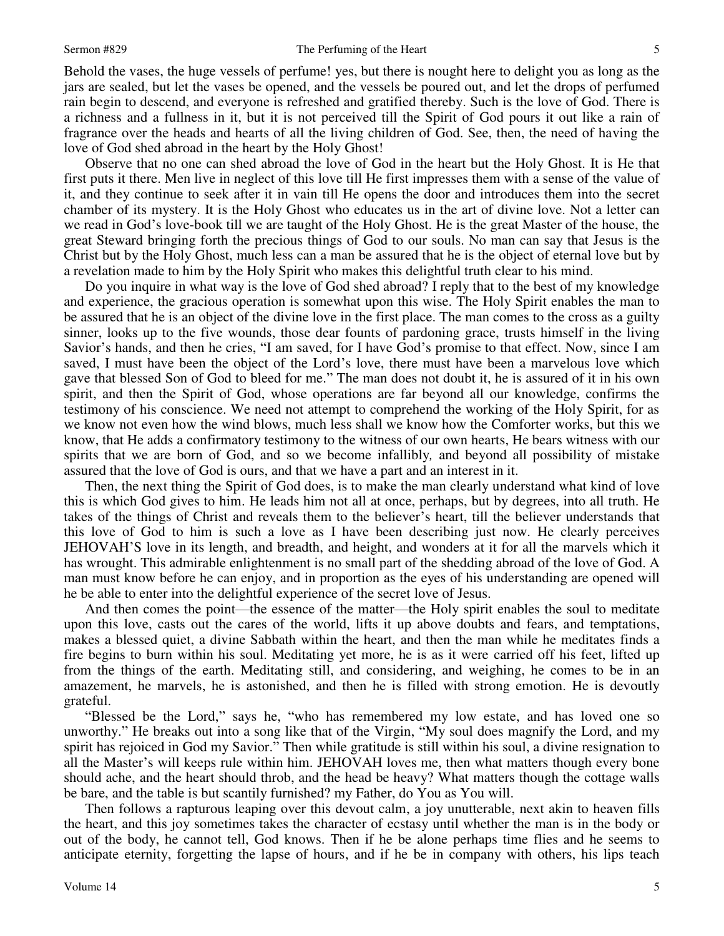Behold the vases, the huge vessels of perfume! yes, but there is nought here to delight you as long as the jars are sealed, but let the vases be opened, and the vessels be poured out, and let the drops of perfumed rain begin to descend, and everyone is refreshed and gratified thereby. Such is the love of God. There is a richness and a fullness in it, but it is not perceived till the Spirit of God pours it out like a rain of fragrance over the heads and hearts of all the living children of God. See, then, the need of having the love of God shed abroad in the heart by the Holy Ghost!

 Observe that no one can shed abroad the love of God in the heart but the Holy Ghost. It is He that first puts it there. Men live in neglect of this love till He first impresses them with a sense of the value of it, and they continue to seek after it in vain till He opens the door and introduces them into the secret chamber of its mystery. It is the Holy Ghost who educates us in the art of divine love. Not a letter can we read in God's love-book till we are taught of the Holy Ghost. He is the great Master of the house, the great Steward bringing forth the precious things of God to our souls. No man can say that Jesus is the Christ but by the Holy Ghost, much less can a man be assured that he is the object of eternal love but by a revelation made to him by the Holy Spirit who makes this delightful truth clear to his mind.

 Do you inquire in what way is the love of God shed abroad? I reply that to the best of my knowledge and experience, the gracious operation is somewhat upon this wise. The Holy Spirit enables the man to be assured that he is an object of the divine love in the first place. The man comes to the cross as a guilty sinner, looks up to the five wounds, those dear founts of pardoning grace, trusts himself in the living Savior's hands, and then he cries, "I am saved, for I have God's promise to that effect. Now, since I am saved, I must have been the object of the Lord's love, there must have been a marvelous love which gave that blessed Son of God to bleed for me." The man does not doubt it, he is assured of it in his own spirit, and then the Spirit of God, whose operations are far beyond all our knowledge, confirms the testimony of his conscience. We need not attempt to comprehend the working of the Holy Spirit, for as we know not even how the wind blows, much less shall we know how the Comforter works, but this we know, that He adds a confirmatory testimony to the witness of our own hearts, He bears witness with our spirits that we are born of God, and so we become infallibly*,* and beyond all possibility of mistake assured that the love of God is ours, and that we have a part and an interest in it.

 Then, the next thing the Spirit of God does, is to make the man clearly understand what kind of love this is which God gives to him. He leads him not all at once, perhaps, but by degrees, into all truth. He takes of the things of Christ and reveals them to the believer's heart, till the believer understands that this love of God to him is such a love as I have been describing just now. He clearly perceives JEHOVAH'S love in its length, and breadth, and height, and wonders at it for all the marvels which it has wrought. This admirable enlightenment is no small part of the shedding abroad of the love of God. A man must know before he can enjoy, and in proportion as the eyes of his understanding are opened will he be able to enter into the delightful experience of the secret love of Jesus.

 And then comes the point—the essence of the matter—the Holy spirit enables the soul to meditate upon this love, casts out the cares of the world, lifts it up above doubts and fears, and temptations, makes a blessed quiet, a divine Sabbath within the heart, and then the man while he meditates finds a fire begins to burn within his soul. Meditating yet more, he is as it were carried off his feet, lifted up from the things of the earth. Meditating still, and considering, and weighing, he comes to be in an amazement, he marvels, he is astonished, and then he is filled with strong emotion. He is devoutly grateful.

"Blessed be the Lord," says he, "who has remembered my low estate, and has loved one so unworthy." He breaks out into a song like that of the Virgin, "My soul does magnify the Lord, and my spirit has rejoiced in God my Savior." Then while gratitude is still within his soul, a divine resignation to all the Master's will keeps rule within him. JEHOVAH loves me, then what matters though every bone should ache, and the heart should throb, and the head be heavy? What matters though the cottage walls be bare, and the table is but scantily furnished? my Father, do You as You will.

 Then follows a rapturous leaping over this devout calm, a joy unutterable, next akin to heaven fills the heart, and this joy sometimes takes the character of ecstasy until whether the man is in the body or out of the body, he cannot tell, God knows. Then if he be alone perhaps time flies and he seems to anticipate eternity, forgetting the lapse of hours, and if he be in company with others, his lips teach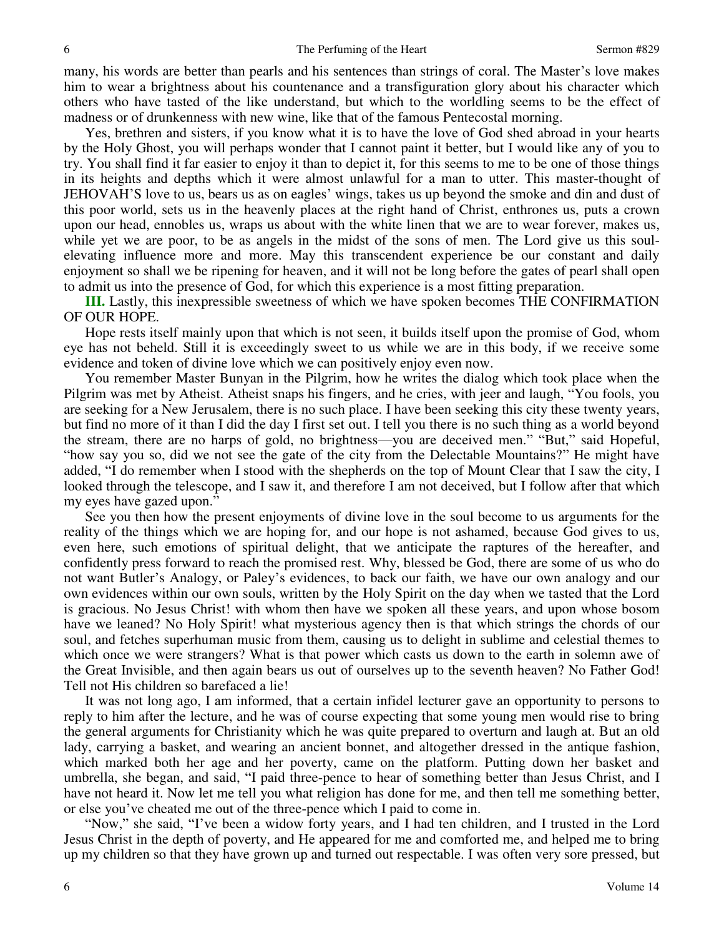many, his words are better than pearls and his sentences than strings of coral. The Master's love makes him to wear a brightness about his countenance and a transfiguration glory about his character which others who have tasted of the like understand, but which to the worldling seems to be the effect of madness or of drunkenness with new wine, like that of the famous Pentecostal morning.

 Yes, brethren and sisters, if you know what it is to have the love of God shed abroad in your hearts by the Holy Ghost, you will perhaps wonder that I cannot paint it better, but I would like any of you to try. You shall find it far easier to enjoy it than to depict it, for this seems to me to be one of those things in its heights and depths which it were almost unlawful for a man to utter. This master-thought of JEHOVAH'S love to us, bears us as on eagles' wings, takes us up beyond the smoke and din and dust of this poor world, sets us in the heavenly places at the right hand of Christ, enthrones us, puts a crown upon our head, ennobles us, wraps us about with the white linen that we are to wear forever, makes us, while yet we are poor, to be as angels in the midst of the sons of men. The Lord give us this soulelevating influence more and more. May this transcendent experience be our constant and daily enjoyment so shall we be ripening for heaven, and it will not be long before the gates of pearl shall open to admit us into the presence of God, for which this experience is a most fitting preparation.

**III.** Lastly, this inexpressible sweetness of which we have spoken becomes THE CONFIRMATION OF OUR HOPE.

 Hope rests itself mainly upon that which is not seen, it builds itself upon the promise of God, whom eye has not beheld. Still it is exceedingly sweet to us while we are in this body, if we receive some evidence and token of divine love which we can positively enjoy even now.

 You remember Master Bunyan in the Pilgrim, how he writes the dialog which took place when the Pilgrim was met by Atheist. Atheist snaps his fingers, and he cries, with jeer and laugh, "You fools, you are seeking for a New Jerusalem, there is no such place. I have been seeking this city these twenty years, but find no more of it than I did the day I first set out. I tell you there is no such thing as a world beyond the stream, there are no harps of gold, no brightness—you are deceived men." "But," said Hopeful, "how say you so, did we not see the gate of the city from the Delectable Mountains?" He might have added, "I do remember when I stood with the shepherds on the top of Mount Clear that I saw the city, I looked through the telescope, and I saw it, and therefore I am not deceived, but I follow after that which my eyes have gazed upon."

 See you then how the present enjoyments of divine love in the soul become to us arguments for the reality of the things which we are hoping for, and our hope is not ashamed, because God gives to us, even here, such emotions of spiritual delight, that we anticipate the raptures of the hereafter, and confidently press forward to reach the promised rest. Why, blessed be God, there are some of us who do not want Butler's Analogy, or Paley's evidences, to back our faith, we have our own analogy and our own evidences within our own souls, written by the Holy Spirit on the day when we tasted that the Lord is gracious. No Jesus Christ! with whom then have we spoken all these years, and upon whose bosom have we leaned? No Holy Spirit! what mysterious agency then is that which strings the chords of our soul, and fetches superhuman music from them, causing us to delight in sublime and celestial themes to which once we were strangers? What is that power which casts us down to the earth in solemn awe of the Great Invisible, and then again bears us out of ourselves up to the seventh heaven? No Father God! Tell not His children so barefaced a lie!

 It was not long ago, I am informed, that a certain infidel lecturer gave an opportunity to persons to reply to him after the lecture, and he was of course expecting that some young men would rise to bring the general arguments for Christianity which he was quite prepared to overturn and laugh at. But an old lady, carrying a basket, and wearing an ancient bonnet, and altogether dressed in the antique fashion, which marked both her age and her poverty, came on the platform. Putting down her basket and umbrella, she began, and said, "I paid three-pence to hear of something better than Jesus Christ, and I have not heard it. Now let me tell you what religion has done for me, and then tell me something better, or else you've cheated me out of the three-pence which I paid to come in.

"Now," she said, "I've been a widow forty years, and I had ten children, and I trusted in the Lord Jesus Christ in the depth of poverty, and He appeared for me and comforted me, and helped me to bring up my children so that they have grown up and turned out respectable. I was often very sore pressed, but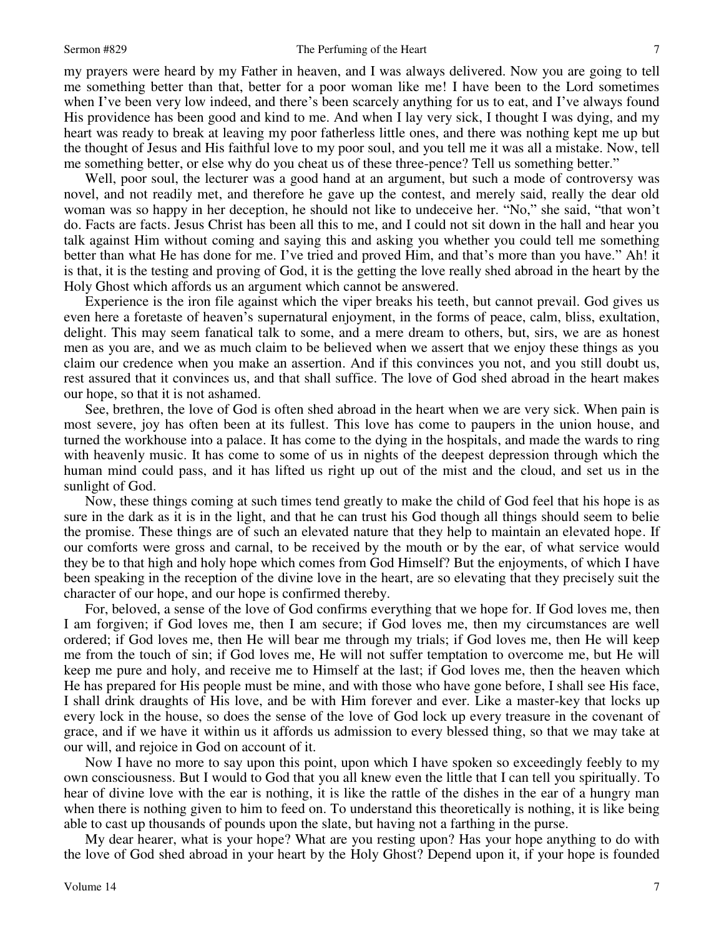#### Sermon #829 The Perfuming of the Heart

my prayers were heard by my Father in heaven, and I was always delivered. Now you are going to tell me something better than that, better for a poor woman like me! I have been to the Lord sometimes when I've been very low indeed, and there's been scarcely anything for us to eat, and I've always found His providence has been good and kind to me. And when I lay very sick, I thought I was dying, and my heart was ready to break at leaving my poor fatherless little ones, and there was nothing kept me up but the thought of Jesus and His faithful love to my poor soul, and you tell me it was all a mistake. Now, tell me something better, or else why do you cheat us of these three-pence? Tell us something better."

 Well, poor soul, the lecturer was a good hand at an argument, but such a mode of controversy was novel, and not readily met, and therefore he gave up the contest, and merely said, really the dear old woman was so happy in her deception, he should not like to undeceive her. "No," she said, "that won't do. Facts are facts. Jesus Christ has been all this to me, and I could not sit down in the hall and hear you talk against Him without coming and saying this and asking you whether you could tell me something better than what He has done for me. I've tried and proved Him, and that's more than you have." Ah! it is that, it is the testing and proving of God, it is the getting the love really shed abroad in the heart by the Holy Ghost which affords us an argument which cannot be answered.

 Experience is the iron file against which the viper breaks his teeth, but cannot prevail. God gives us even here a foretaste of heaven's supernatural enjoyment, in the forms of peace, calm, bliss, exultation, delight. This may seem fanatical talk to some, and a mere dream to others, but, sirs, we are as honest men as you are, and we as much claim to be believed when we assert that we enjoy these things as you claim our credence when you make an assertion. And if this convinces you not, and you still doubt us, rest assured that it convinces us, and that shall suffice. The love of God shed abroad in the heart makes our hope, so that it is not ashamed.

See, brethren, the love of God is often shed abroad in the heart when we are very sick. When pain is most severe, joy has often been at its fullest. This love has come to paupers in the union house, and turned the workhouse into a palace. It has come to the dying in the hospitals, and made the wards to ring with heavenly music. It has come to some of us in nights of the deepest depression through which the human mind could pass, and it has lifted us right up out of the mist and the cloud, and set us in the sunlight of God.

 Now, these things coming at such times tend greatly to make the child of God feel that his hope is as sure in the dark as it is in the light, and that he can trust his God though all things should seem to belie the promise. These things are of such an elevated nature that they help to maintain an elevated hope. If our comforts were gross and carnal, to be received by the mouth or by the ear, of what service would they be to that high and holy hope which comes from God Himself? But the enjoyments, of which I have been speaking in the reception of the divine love in the heart, are so elevating that they precisely suit the character of our hope, and our hope is confirmed thereby.

 For, beloved, a sense of the love of God confirms everything that we hope for. If God loves me, then I am forgiven; if God loves me, then I am secure; if God loves me, then my circumstances are well ordered; if God loves me, then He will bear me through my trials; if God loves me, then He will keep me from the touch of sin; if God loves me, He will not suffer temptation to overcome me, but He will keep me pure and holy, and receive me to Himself at the last; if God loves me, then the heaven which He has prepared for His people must be mine, and with those who have gone before, I shall see His face, I shall drink draughts of His love, and be with Him forever and ever. Like a master-key that locks up every lock in the house, so does the sense of the love of God lock up every treasure in the covenant of grace, and if we have it within us it affords us admission to every blessed thing, so that we may take at our will, and rejoice in God on account of it.

 Now I have no more to say upon this point, upon which I have spoken so exceedingly feebly to my own consciousness. But I would to God that you all knew even the little that I can tell you spiritually. To hear of divine love with the ear is nothing, it is like the rattle of the dishes in the ear of a hungry man when there is nothing given to him to feed on. To understand this theoretically is nothing, it is like being able to cast up thousands of pounds upon the slate, but having not a farthing in the purse.

 My dear hearer, what is your hope? What are you resting upon? Has your hope anything to do with the love of God shed abroad in your heart by the Holy Ghost? Depend upon it, if your hope is founded